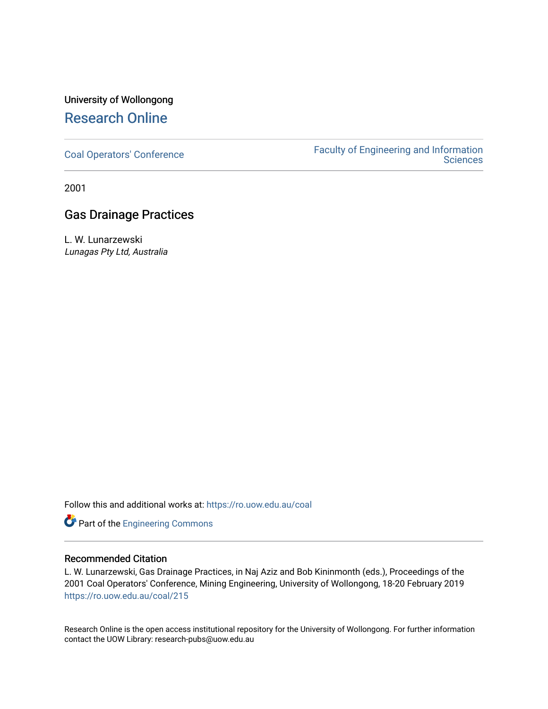## University of Wollongong [Research Online](https://ro.uow.edu.au/)

[Coal Operators' Conference](https://ro.uow.edu.au/coal) [Faculty of Engineering and Information](https://ro.uow.edu.au/eis)  **Sciences** 

2001

### Gas Drainage Practices

L. W. Lunarzewski Lunagas Pty Ltd, Australia

Follow this and additional works at: [https://ro.uow.edu.au/coal](https://ro.uow.edu.au/coal?utm_source=ro.uow.edu.au%2Fcoal%2F215&utm_medium=PDF&utm_campaign=PDFCoverPages) 

Part of the [Engineering Commons](http://network.bepress.com/hgg/discipline/217?utm_source=ro.uow.edu.au%2Fcoal%2F215&utm_medium=PDF&utm_campaign=PDFCoverPages)

#### Recommended Citation

L. W. Lunarzewski, Gas Drainage Practices, in Naj Aziz and Bob Kininmonth (eds.), Proceedings of the 2001 Coal Operators' Conference, Mining Engineering, University of Wollongong, 18-20 February 2019 [https://ro.uow.edu.au/coal/215](https://ro.uow.edu.au/coal/215?utm_source=ro.uow.edu.au%2Fcoal%2F215&utm_medium=PDF&utm_campaign=PDFCoverPages) 

Research Online is the open access institutional repository for the University of Wollongong. For further information contact the UOW Library: research-pubs@uow.edu.au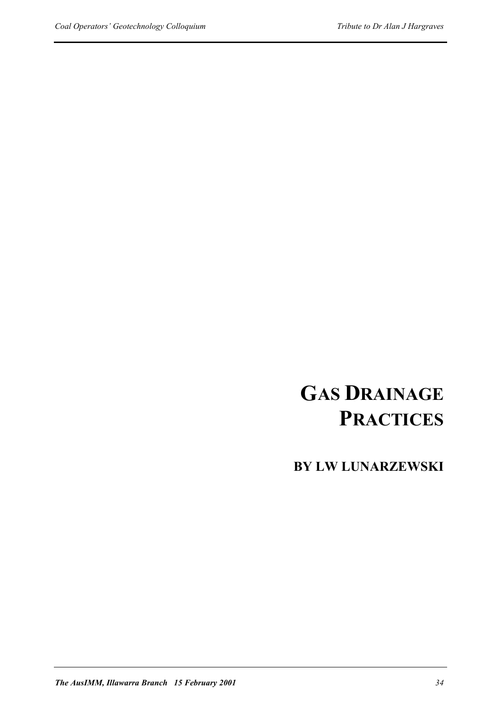# **GAS DRAINAGE PRACTICES**

**BY LW LUNARZEWSKI**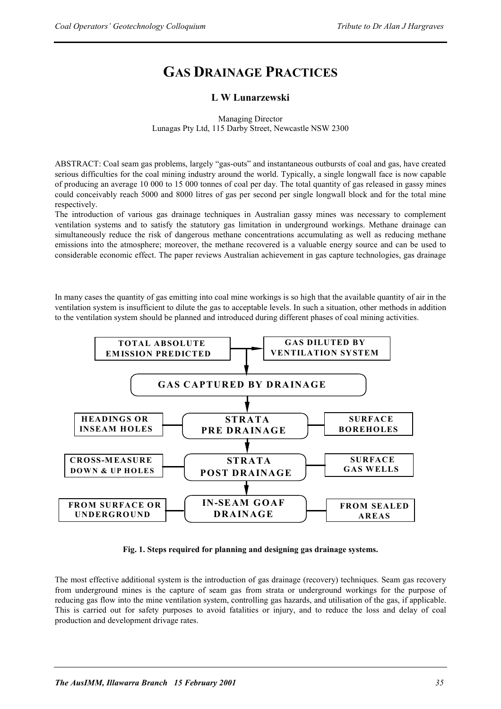## **GAS DRAINAGE PRACTICES**

#### **L W Lunarzewski**

Managing Director Lunagas Pty Ltd, 115 Darby Street, Newcastle NSW 2300

ABSTRACT: Coal seam gas problems, largely "gas-outs" and instantaneous outbursts of coal and gas, have created serious difficulties for the coal mining industry around the world. Typically, a single longwall face is now capable of producing an average 10 000 to 15 000 tonnes of coal per day. The total quantity of gas released in gassy mines could conceivably reach 5000 and 8000 litres of gas per second per single longwall block and for the total mine respectively.

The introduction of various gas drainage techniques in Australian gassy mines was necessary to complement ventilation systems and to satisfy the statutory gas limitation in underground workings. Methane drainage can simultaneously reduce the risk of dangerous methane concentrations accumulating as well as reducing methane emissions into the atmosphere; moreover, the methane recovered is a valuable energy source and can be used to considerable economic effect. The paper reviews Australian achievement in gas capture technologies, gas drainage

In many cases the quantity of gas emitting into coal mine workings is so high that the available quantity of air in the ventilation system is insufficient to dilute the gas to acceptable levels. In such a situation, other methods in addition to the ventilation system should be planned and introduced during different phases of coal mining activities.



**Fig. 1. Steps required for planning and designing gas drainage systems.** 

The most effective additional system is the introduction of gas drainage (recovery) techniques. Seam gas recovery from underground mines is the capture of seam gas from strata or underground workings for the purpose of reducing gas flow into the mine ventilation system, controlling gas hazards, and utilisation of the gas, if applicable. This is carried out for safety purposes to avoid fatalities or injury, and to reduce the loss and delay of coal production and development drivage rates.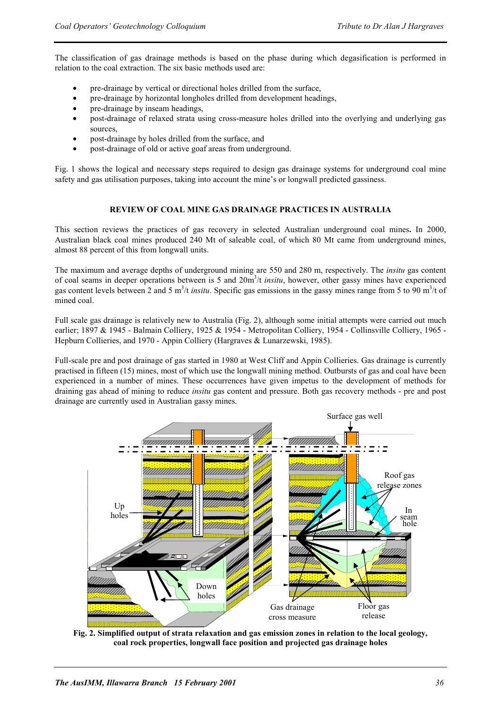The classification of gas drainage methods is based on the phase during which degasification is performed in relation to the coal extraction. The six basic methods used are:

- pre-drainage by vertical or directional holes drilled from the surface,
- pre-drainage by horizontal longholes drilled from development headings,
- pre-drainage by inseam headings,
- post-drainage of relaxed strata using cross-measure holes drilled into the overlying and underlying gas sources,
- post-drainage by holes drilled from the surface, and
- post-drainage of old or active goaf areas from underground.

Fig. 1 shows the logical and necessary steps required to design gas drainage systems for underground coal mine safety and gas utilisation purposes, taking into account the mine's or longwall predicted gassiness.

#### **REVIEW OF COAL MINE GAS DRAINAGE PRACTICES IN AUSTRALIA**

This section reviews the practices of gas recovery in selected Australian underground coal mines**.** In 2000, Australian black coal mines produced 240 Mt of saleable coal, of which 80 Mt came from underground mines, almost 88 percent of this from longwall units.

The maximum and average depths of underground mining are 550 and 280 m, respectively. The *insitu* gas content of coal seams in deeper operations between is 5 and 20m<sup>3</sup>/t *insitu*, however, other gassy mines have experienced gas content levels between 2 and 5 m<sup>3</sup>/t *insitu*. Specific gas emissions in the gassy mines range from 5 to 90 m<sup>3</sup>/t of mined coal.

Full scale gas drainage is relatively new to Australia (Fig. 2), although some initial attempts were carried out much earlier; 1897 & 1945 - Balmain Colliery, 1925 & 1954 - Metropolitan Colliery, 1954 - Collinsville Colliery, 1965 - Hepburn Collieries, and 1970 - Appin Colliery (Hargraves & Lunarzewski, 1985).

Full-scale pre and post drainage of gas started in 1980 at West Cliff and Appin Collieries. Gas drainage is currently practised in fifteen (15) mines, most of which use the longwall mining method. Outbursts of gas and coal have been experienced in a number of mines. These occurrences have given impetus to the development of methods for draining gas ahead of mining to reduce *insitu* gas content and pressure. Both gas recovery methods - pre and post drainage are currently used in Australian gassy mines.



**Fig. 2. Simplified output of strata relaxation and gas emission zones in relation to the local geology, coal rock properties, longwall face position and projected gas drainage holes**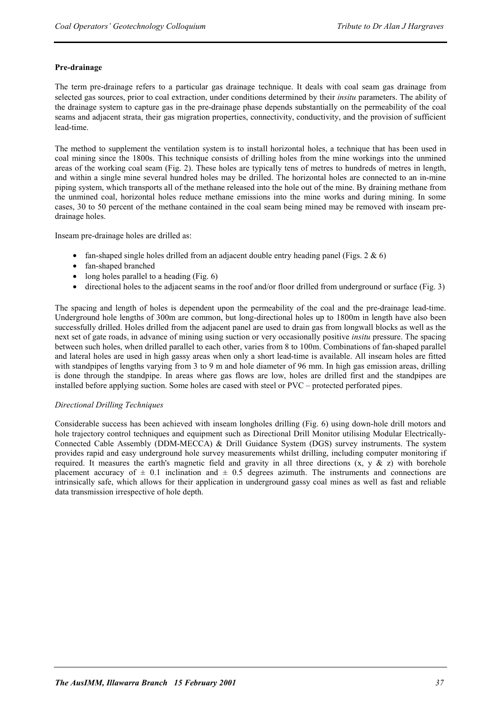#### **Pre-drainage**

The term pre-drainage refers to a particular gas drainage technique. It deals with coal seam gas drainage from selected gas sources, prior to coal extraction, under conditions determined by their *insitu* parameters. The ability of the drainage system to capture gas in the pre-drainage phase depends substantially on the permeability of the coal seams and adjacent strata, their gas migration properties, connectivity, conductivity, and the provision of sufficient lead-time.

The method to supplement the ventilation system is to install horizontal holes, a technique that has been used in coal mining since the 1800s. This technique consists of drilling holes from the mine workings into the unmined areas of the working coal seam (Fig. 2). These holes are typically tens of metres to hundreds of metres in length, and within a single mine several hundred holes may be drilled. The horizontal holes are connected to an in-mine piping system, which transports all of the methane released into the hole out of the mine. By draining methane from the unmined coal, horizontal holes reduce methane emissions into the mine works and during mining. In some cases, 30 to 50 percent of the methane contained in the coal seam being mined may be removed with inseam predrainage holes.

Inseam pre-drainage holes are drilled as:

- fan-shaped single holes drilled from an adjacent double entry heading panel (Figs. 2  $\&$  6)
- fan-shaped branched
- long holes parallel to a heading  $(Fig, 6)$
- directional holes to the adjacent seams in the roof and/or floor drilled from underground or surface (Fig. 3)

The spacing and length of holes is dependent upon the permeability of the coal and the pre-drainage lead-time. Underground hole lengths of 300m are common, but long-directional holes up to 1800m in length have also been successfully drilled. Holes drilled from the adjacent panel are used to drain gas from longwall blocks as well as the next set of gate roads, in advance of mining using suction or very occasionally positive *insitu* pressure. The spacing between such holes, when drilled parallel to each other, varies from 8 to 100m. Combinations of fan-shaped parallel and lateral holes are used in high gassy areas when only a short lead-time is available. All inseam holes are fitted with standpipes of lengths varying from 3 to 9 m and hole diameter of 96 mm. In high gas emission areas, drilling is done through the standpipe. In areas where gas flows are low, holes are drilled first and the standpipes are installed before applying suction. Some holes are cased with steel or PVC – protected perforated pipes.

#### *Directional Drilling Techniques*

Considerable success has been achieved with inseam longholes drilling (Fig. 6) using down-hole drill motors and hole trajectory control techniques and equipment such as Directional Drill Monitor utilising Modular Electrically-Connected Cable Assembly (DDM-MECCA) & Drill Guidance System (DGS) survey instruments. The system provides rapid and easy underground hole survey measurements whilst drilling, including computer monitoring if required. It measures the earth's magnetic field and gravity in all three directions  $(x, y \& z)$  with borehole placement accuracy of  $\pm$  0.1 inclination and  $\pm$  0.5 degrees azimuth. The instruments and connections are intrinsically safe, which allows for their application in underground gassy coal mines as well as fast and reliable data transmission irrespective of hole depth.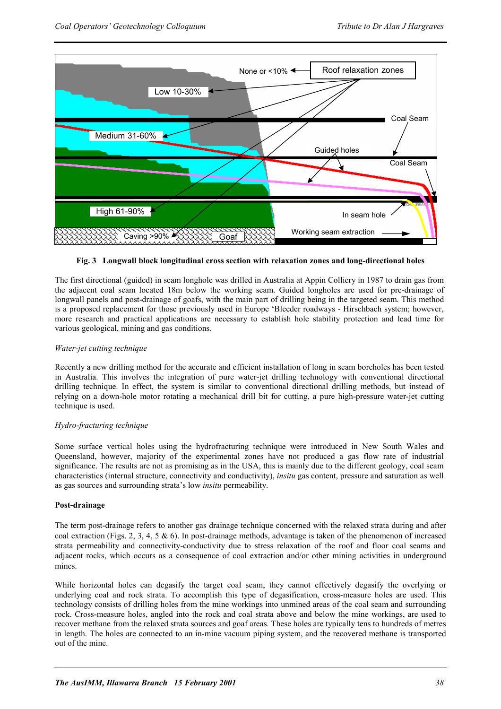

#### **Fig. 3 Longwall block longitudinal cross section with relaxation zones and long-directional holes**

The first directional (guided) in seam longhole was drilled in Australia at Appin Colliery in 1987 to drain gas from the adjacent coal seam located 18m below the working seam. Guided longholes are used for pre-drainage of longwall panels and post-drainage of goafs, with the main part of drilling being in the targeted seam. This method is a proposed replacement for those previously used in Europe 'Bleeder roadways - Hirschbach system; however, more research and practical applications are necessary to establish hole stability protection and lead time for various geological, mining and gas conditions.

#### *Water-jet cutting technique*

Recently a new drilling method for the accurate and efficient installation of long in seam boreholes has been tested in Australia. This involves the integration of pure water-jet drilling technology with conventional directional drilling technique. In effect, the system is similar to conventional directional drilling methods, but instead of relying on a down-hole motor rotating a mechanical drill bit for cutting, a pure high-pressure water-jet cutting technique is used.

#### *Hydro-fracturing technique*

Some surface vertical holes using the hydrofracturing technique were introduced in New South Wales and Queensland, however, majority of the experimental zones have not produced a gas flow rate of industrial significance. The results are not as promising as in the USA, this is mainly due to the different geology, coal seam characteristics (internal structure, connectivity and conductivity), *insitu* gas content, pressure and saturation as well as gas sources and surrounding strata's low *insitu* permeability.

#### **Post-drainage**

The term post-drainage refers to another gas drainage technique concerned with the relaxed strata during and after coal extraction (Figs. 2, 3, 4, 5 & 6). In post-drainage methods, advantage is taken of the phenomenon of increased strata permeability and connectivity-conductivity due to stress relaxation of the roof and floor coal seams and adjacent rocks, which occurs as a consequence of coal extraction and/or other mining activities in underground mines.

While horizontal holes can degasify the target coal seam, they cannot effectively degasify the overlying or underlying coal and rock strata. To accomplish this type of degasification, cross-measure holes are used. This technology consists of drilling holes from the mine workings into unmined areas of the coal seam and surrounding rock. Cross-measure holes, angled into the rock and coal strata above and below the mine workings, are used to recover methane from the relaxed strata sources and goaf areas. These holes are typically tens to hundreds of metres in length. The holes are connected to an in-mine vacuum piping system, and the recovered methane is transported out of the mine.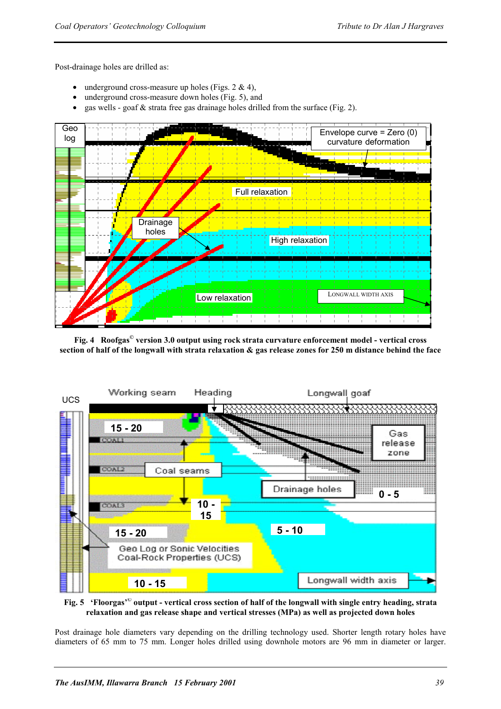Post-drainage holes are drilled as:

- underground cross-measure up holes (Figs.  $2 \& 4$ ),
- underground cross-measure down holes (Fig. 5), and
- gas wells goaf  $\&$  strata free gas drainage holes drilled from the surface (Fig. 2).



**Fig. 4 Roofgas© version 3.0 output using rock strata curvature enforcement model - vertical cross section of half of the longwall with strata relaxation & gas release zones for 250 m distance behind the face** 



**Fig. 5 'Floorgas'© output - vertical cross section of half of the longwall with single entry heading, strata relaxation and gas release shape and vertical stresses (MPa) as well as projected down holes** 

Post drainage hole diameters vary depending on the drilling technology used. Shorter length rotary holes have diameters of 65 mm to 75 mm. Longer holes drilled using downhole motors are 96 mm in diameter or larger.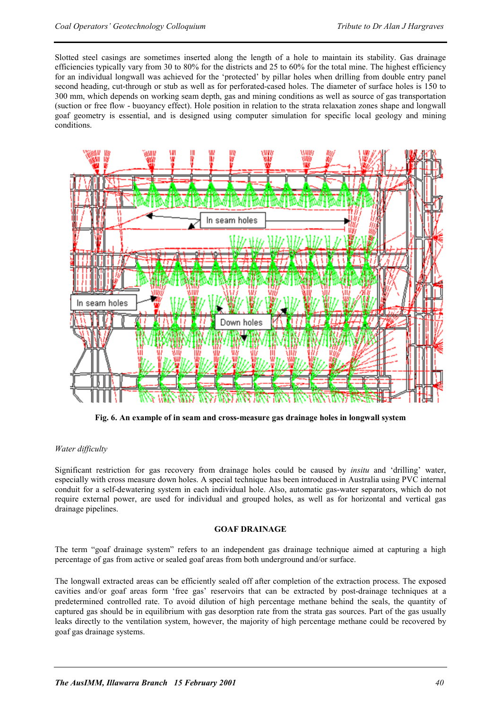Slotted steel casings are sometimes inserted along the length of a hole to maintain its stability. Gas drainage efficiencies typically vary from 30 to 80% for the districts and 25 to 60% for the total mine. The highest efficiency for an individual longwall was achieved for the 'protected' by pillar holes when drilling from double entry panel second heading, cut-through or stub as well as for perforated-cased holes. The diameter of surface holes is 150 to 300 mm, which depends on working seam depth, gas and mining conditions as well as source of gas transportation (suction or free flow - buoyancy effect). Hole position in relation to the strata relaxation zones shape and longwall goaf geometry is essential, and is designed using computer simulation for specific local geology and mining conditions.



**Fig. 6. An example of in seam and cross-measure gas drainage holes in longwall system** 

#### *Water difficulty*

Significant restriction for gas recovery from drainage holes could be caused by *insitu* and 'drilling' water, especially with cross measure down holes. A special technique has been introduced in Australia using PVC internal conduit for a self-dewatering system in each individual hole. Also, automatic gas-water separators, which do not require external power, are used for individual and grouped holes, as well as for horizontal and vertical gas drainage pipelines.

#### **GOAF DRAINAGE**

The term "goaf drainage system" refers to an independent gas drainage technique aimed at capturing a high percentage of gas from active or sealed goaf areas from both underground and/or surface.

The longwall extracted areas can be efficiently sealed off after completion of the extraction process. The exposed cavities and/or goaf areas form 'free gas' reservoirs that can be extracted by post-drainage techniques at a predetermined controlled rate. To avoid dilution of high percentage methane behind the seals, the quantity of captured gas should be in equilibrium with gas desorption rate from the strata gas sources. Part of the gas usually leaks directly to the ventilation system, however, the majority of high percentage methane could be recovered by goaf gas drainage systems.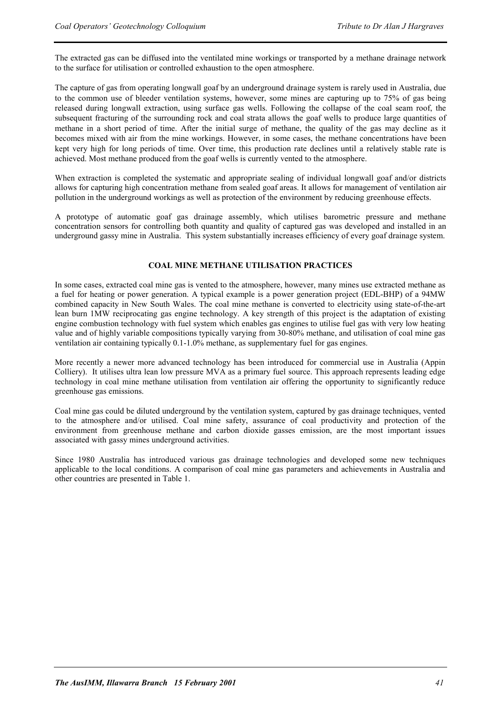The extracted gas can be diffused into the ventilated mine workings or transported by a methane drainage network to the surface for utilisation or controlled exhaustion to the open atmosphere.

The capture of gas from operating longwall goaf by an underground drainage system is rarely used in Australia, due to the common use of bleeder ventilation systems, however, some mines are capturing up to 75% of gas being released during longwall extraction, using surface gas wells. Following the collapse of the coal seam roof, the subsequent fracturing of the surrounding rock and coal strata allows the goaf wells to produce large quantities of methane in a short period of time. After the initial surge of methane, the quality of the gas may decline as it becomes mixed with air from the mine workings. However, in some cases, the methane concentrations have been kept very high for long periods of time. Over time, this production rate declines until a relatively stable rate is achieved. Most methane produced from the goaf wells is currently vented to the atmosphere.

When extraction is completed the systematic and appropriate sealing of individual longwall goaf and/or districts allows for capturing high concentration methane from sealed goaf areas. It allows for management of ventilation air pollution in the underground workings as well as protection of the environment by reducing greenhouse effects.

A prototype of automatic goaf gas drainage assembly, which utilises barometric pressure and methane concentration sensors for controlling both quantity and quality of captured gas was developed and installed in an underground gassy mine in Australia. This system substantially increases efficiency of every goaf drainage system.

#### **COAL MINE METHANE UTILISATION PRACTICES**

In some cases, extracted coal mine gas is vented to the atmosphere, however, many mines use extracted methane as a fuel for heating or power generation. A typical example is a power generation project (EDL-BHP) of a 94MW combined capacity in New South Wales. The coal mine methane is converted to electricity using state-of-the-art lean burn 1MW reciprocating gas engine technology. A key strength of this project is the adaptation of existing engine combustion technology with fuel system which enables gas engines to utilise fuel gas with very low heating value and of highly variable compositions typically varying from 30-80% methane, and utilisation of coal mine gas ventilation air containing typically 0.1-1.0% methane, as supplementary fuel for gas engines.

More recently a newer more advanced technology has been introduced for commercial use in Australia (Appin Colliery). It utilises ultra lean low pressure MVA as a primary fuel source. This approach represents leading edge technology in coal mine methane utilisation from ventilation air offering the opportunity to significantly reduce greenhouse gas emissions.

Coal mine gas could be diluted underground by the ventilation system, captured by gas drainage techniques, vented to the atmosphere and/or utilised. Coal mine safety, assurance of coal productivity and protection of the environment from greenhouse methane and carbon dioxide gasses emission, are the most important issues associated with gassy mines underground activities.

Since 1980 Australia has introduced various gas drainage technologies and developed some new techniques applicable to the local conditions. A comparison of coal mine gas parameters and achievements in Australia and other countries are presented in Table 1.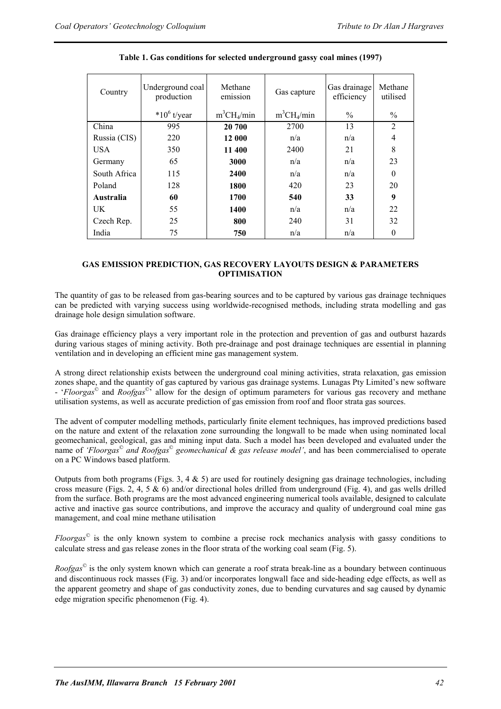| Country      | Underground coal<br>production | Methane<br>emission | Gas capture   | Gas drainage<br>efficiency | Methane<br>utilised |
|--------------|--------------------------------|---------------------|---------------|----------------------------|---------------------|
|              | $*10^6$ t/year                 | $m^3CH_4/min$       | $m^3CH_4/min$ | $\%$                       | $\%$                |
| China        | 995                            | 20 700              | 2700          | 13                         | $\overline{2}$      |
| Russia (CIS) | 220                            | 12 000              | n/a           | n/a                        | 4                   |
| <b>USA</b>   | 350                            | 11 400              | 2400          | 21                         | 8                   |
| Germany      | 65                             | 3000                | n/a           | n/a                        | 23                  |
| South Africa | 115                            | 2400                | n/a           | n/a                        | $\theta$            |
| Poland       | 128                            | 1800                | 420           | 23                         | 20                  |
| Australia    | 60                             | 1700                | 540           | 33                         | 9                   |
| UK           | 55                             | 1400                | n/a           | n/a                        | 22                  |
| Czech Rep.   | 25                             | 800                 | 240           | 31                         | 32                  |
| India        | 75                             | 750                 | n/a           | n/a                        | $\theta$            |

#### **Table 1. Gas conditions for selected underground gassy coal mines (1997)**

#### **GAS EMISSION PREDICTION, GAS RECOVERY LAYOUTS DESIGN & PARAMETERS OPTIMISATION**

The quantity of gas to be released from gas-bearing sources and to be captured by various gas drainage techniques can be predicted with varying success using worldwide-recognised methods, including strata modelling and gas drainage hole design simulation software.

Gas drainage efficiency plays a very important role in the protection and prevention of gas and outburst hazards during various stages of mining activity. Both pre-drainage and post drainage techniques are essential in planning ventilation and in developing an efficient mine gas management system.

A strong direct relationship exists between the underground coal mining activities, strata relaxation, gas emission zones shape, and the quantity of gas captured by various gas drainage systems. Lunagas Pty Limited's new software - '*Floorgas*© and *Roofgas*©' allow for the design of optimum parameters for various gas recovery and methane utilisation systems, as well as accurate prediction of gas emission from roof and floor strata gas sources.

The advent of computer modelling methods, particularly finite element techniques, has improved predictions based on the nature and extent of the relaxation zone surrounding the longwall to be made when using nominated local geomechanical, geological, gas and mining input data. Such a model has been developed and evaluated under the name of *'Floorgas*© *and Roofgas*© *geomechanical & gas release model'*, and has been commercialised to operate on a PC Windows based platform.

Outputs from both programs (Figs. 3, 4  $\&$  5) are used for routinely designing gas drainage technologies, including cross measure (Figs. 2, 4, 5  $\&$  6) and/or directional holes drilled from underground (Fig. 4), and gas wells drilled from the surface. Both programs are the most advanced engineering numerical tools available, designed to calculate active and inactive gas source contributions, and improve the accuracy and quality of underground coal mine gas management, and coal mine methane utilisation

*Floorgas©* is the only known system to combine a precise rock mechanics analysis with gassy conditions to calculate stress and gas release zones in the floor strata of the working coal seam (Fig. 5).

*Roofgas©* is the only system known which can generate a roof strata break-line as a boundary between continuous and discontinuous rock masses (Fig. 3) and/or incorporates longwall face and side-heading edge effects, as well as the apparent geometry and shape of gas conductivity zones, due to bending curvatures and sag caused by dynamic edge migration specific phenomenon (Fig. 4).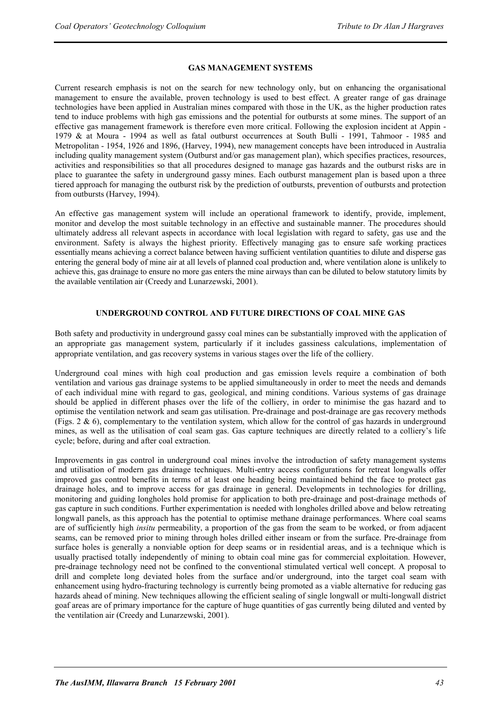#### **GAS MANAGEMENT SYSTEMS**

Current research emphasis is not on the search for new technology only, but on enhancing the organisational management to ensure the available, proven technology is used to best effect. A greater range of gas drainage technologies have been applied in Australian mines compared with those in the UK, as the higher production rates tend to induce problems with high gas emissions and the potential for outbursts at some mines. The support of an effective gas management framework is therefore even more critical. Following the explosion incident at Appin - 1979 & at Moura - 1994 as well as fatal outburst occurrences at South Bulli - 1991, Tahmoor - 1985 and Metropolitan - 1954, 1926 and 1896, (Harvey, 1994), new management concepts have been introduced in Australia including quality management system (Outburst and/or gas management plan), which specifies practices, resources, activities and responsibilities so that all procedures designed to manage gas hazards and the outburst risks are in place to guarantee the safety in underground gassy mines. Each outburst management plan is based upon a three tiered approach for managing the outburst risk by the prediction of outbursts, prevention of outbursts and protection from outbursts (Harvey, 1994).

An effective gas management system will include an operational framework to identify, provide, implement, monitor and develop the most suitable technology in an effective and sustainable manner. The procedures should ultimately address all relevant aspects in accordance with local legislation with regard to safety, gas use and the environment. Safety is always the highest priority. Effectively managing gas to ensure safe working practices essentially means achieving a correct balance between having sufficient ventilation quantities to dilute and disperse gas entering the general body of mine air at all levels of planned coal production and, where ventilation alone is unlikely to achieve this, gas drainage to ensure no more gas enters the mine airways than can be diluted to below statutory limits by the available ventilation air (Creedy and Lunarzewski, 2001).

#### **UNDERGROUND CONTROL AND FUTURE DIRECTIONS OF COAL MINE GAS**

Both safety and productivity in underground gassy coal mines can be substantially improved with the application of an appropriate gas management system, particularly if it includes gassiness calculations, implementation of appropriate ventilation, and gas recovery systems in various stages over the life of the colliery.

Underground coal mines with high coal production and gas emission levels require a combination of both ventilation and various gas drainage systems to be applied simultaneously in order to meet the needs and demands of each individual mine with regard to gas, geological, and mining conditions. Various systems of gas drainage should be applied in different phases over the life of the colliery, in order to minimise the gas hazard and to optimise the ventilation network and seam gas utilisation. Pre-drainage and post-drainage are gas recovery methods (Figs. 2 & 6), complementary to the ventilation system, which allow for the control of gas hazards in underground mines, as well as the utilisation of coal seam gas. Gas capture techniques are directly related to a colliery's life cycle; before, during and after coal extraction.

Improvements in gas control in underground coal mines involve the introduction of safety management systems and utilisation of modern gas drainage techniques. Multi-entry access configurations for retreat longwalls offer improved gas control benefits in terms of at least one heading being maintained behind the face to protect gas drainage holes, and to improve access for gas drainage in general. Developments in technologies for drilling, monitoring and guiding longholes hold promise for application to both pre-drainage and post-drainage methods of gas capture in such conditions. Further experimentation is needed with longholes drilled above and below retreating longwall panels, as this approach has the potential to optimise methane drainage performances. Where coal seams are of sufficiently high *insitu* permeability, a proportion of the gas from the seam to be worked, or from adjacent seams, can be removed prior to mining through holes drilled either inseam or from the surface. Pre-drainage from surface holes is generally a nonviable option for deep seams or in residential areas, and is a technique which is usually practised totally independently of mining to obtain coal mine gas for commercial exploitation. However, pre-drainage technology need not be confined to the conventional stimulated vertical well concept. A proposal to drill and complete long deviated holes from the surface and/or underground, into the target coal seam with enhancement using hydro-fracturing technology is currently being promoted as a viable alternative for reducing gas hazards ahead of mining. New techniques allowing the efficient sealing of single longwall or multi-longwall district goaf areas are of primary importance for the capture of huge quantities of gas currently being diluted and vented by the ventilation air (Creedy and Lunarzewski, 2001).